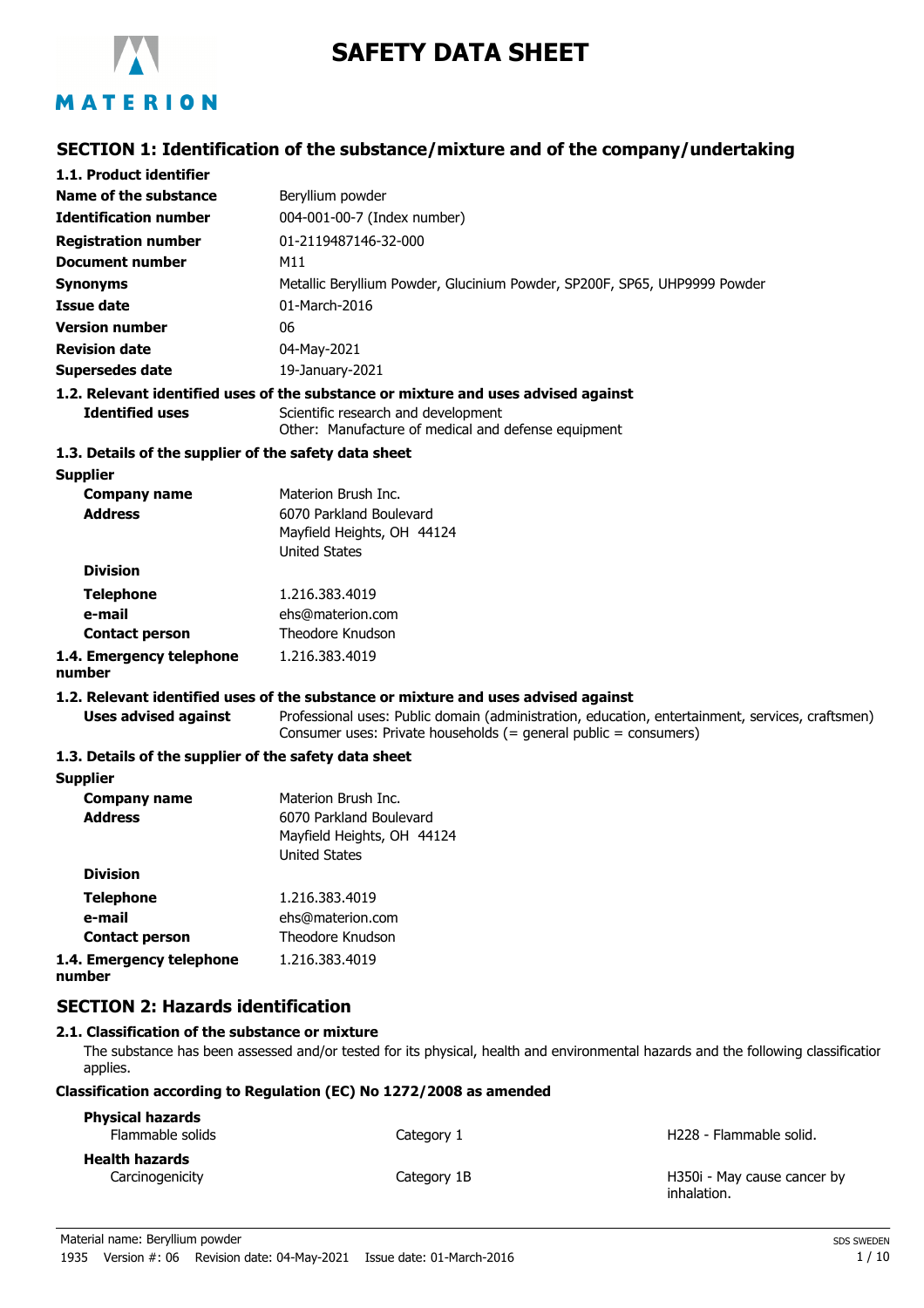

# **SAFETY DATA SHEET**

## **SECTION 1: Identification of the substance/mixture and of the company/undertaking**

| 1.1. Product identifier                               |                                                                                                                                                                      |
|-------------------------------------------------------|----------------------------------------------------------------------------------------------------------------------------------------------------------------------|
| Name of the substance                                 | Beryllium powder                                                                                                                                                     |
| <b>Identification number</b>                          | 004-001-00-7 (Index number)                                                                                                                                          |
| <b>Registration number</b>                            | 01-2119487146-32-000                                                                                                                                                 |
| <b>Document number</b>                                | M11                                                                                                                                                                  |
| <b>Synonyms</b>                                       | Metallic Beryllium Powder, Glucinium Powder, SP200F, SP65, UHP9999 Powder                                                                                            |
| <b>Issue date</b>                                     | 01-March-2016                                                                                                                                                        |
| <b>Version number</b>                                 | 06                                                                                                                                                                   |
| <b>Revision date</b>                                  | 04-May-2021                                                                                                                                                          |
| <b>Supersedes date</b>                                | 19-January-2021                                                                                                                                                      |
|                                                       | 1.2. Relevant identified uses of the substance or mixture and uses advised against                                                                                   |
| <b>Identified uses</b>                                | Scientific research and development<br>Other: Manufacture of medical and defense equipment                                                                           |
| 1.3. Details of the supplier of the safety data sheet |                                                                                                                                                                      |
| <b>Supplier</b>                                       |                                                                                                                                                                      |
| <b>Company name</b>                                   | Materion Brush Inc.                                                                                                                                                  |
| <b>Address</b>                                        | 6070 Parkland Boulevard                                                                                                                                              |
|                                                       | Mayfield Heights, OH 44124                                                                                                                                           |
| <b>Division</b>                                       | <b>United States</b>                                                                                                                                                 |
|                                                       |                                                                                                                                                                      |
| <b>Telephone</b>                                      | 1.216.383.4019                                                                                                                                                       |
| e-mail                                                | ehs@materion.com<br>Theodore Knudson                                                                                                                                 |
| <b>Contact person</b>                                 |                                                                                                                                                                      |
| 1.4. Emergency telephone<br>number                    | 1.216.383.4019                                                                                                                                                       |
|                                                       | 1.2. Relevant identified uses of the substance or mixture and uses advised against                                                                                   |
| <b>Uses advised against</b>                           | Professional uses: Public domain (administration, education, entertainment, services, craftsmen)<br>Consumer uses: Private households (= general public = consumers) |
| 1.3. Details of the supplier of the safety data sheet |                                                                                                                                                                      |
| <b>Supplier</b>                                       |                                                                                                                                                                      |
| <b>Company name</b>                                   | Materion Brush Inc.                                                                                                                                                  |
| <b>Address</b>                                        | 6070 Parkland Boulevard                                                                                                                                              |
|                                                       | Mayfield Heights, OH 44124                                                                                                                                           |
| <b>Division</b>                                       | <b>United States</b>                                                                                                                                                 |
|                                                       | 1.216.383.4019                                                                                                                                                       |
| <b>Telephone</b><br>e-mail                            | ehs@materion.com                                                                                                                                                     |
| <b>Contact person</b>                                 | Theodore Knudson                                                                                                                                                     |
| 1.4. Emergency telephone                              | 1.216.383.4019                                                                                                                                                       |
| number                                                |                                                                                                                                                                      |
| <b>SECTION 2: Hazards identification</b>              |                                                                                                                                                                      |

#### **2.1. Classification of the substance or mixture**

The substance has been assessed and/or tested for its physical, health and environmental hazards and the following classification applies.

#### **Classification according to Regulation (EC) No 1272/2008 as amended**

| <b>Physical hazards</b><br>Flammable solids | Category 1  | H <sub>228</sub> - Flammable solid.        |
|---------------------------------------------|-------------|--------------------------------------------|
| <b>Health hazards</b>                       |             |                                            |
| Carcinogenicity                             | Category 1B | H350i - May cause cancer by<br>inhalation. |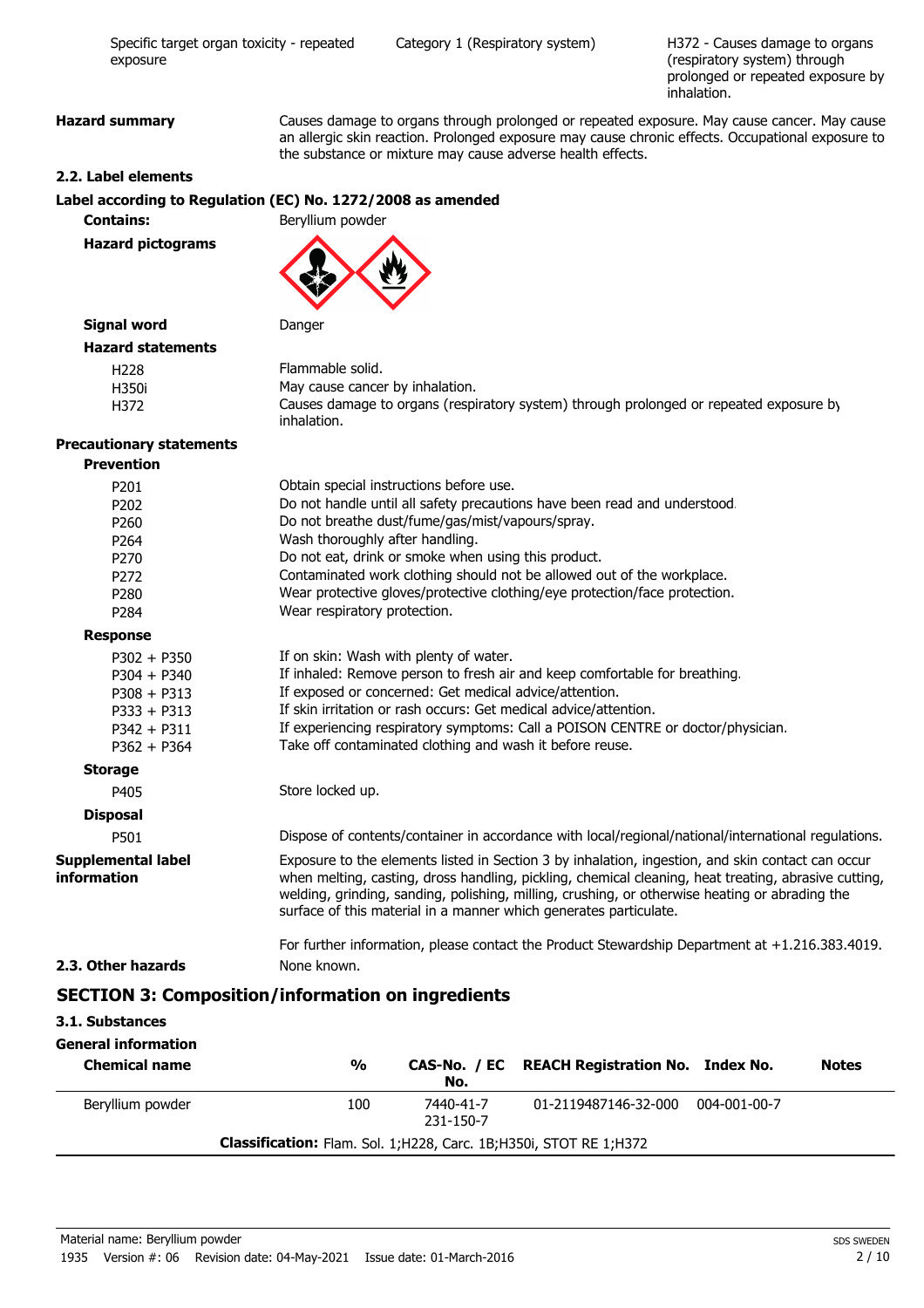H372 - Causes damage to organs (respiratory system) through prolonged or repeated exposure by inhalation.

**Hazard summary** Causes damage to organs through prolonged or repeated exposure. May cause cancer. May cause an allergic skin reaction. Prolonged exposure may cause chronic effects. Occupational exposure to the substance or mixture may cause adverse health effects.

#### **2.2. Label elements**

#### **Label according to Regulation (EC) No. 1272/2008 as amended**

**Contains:** Beryllium powder

**Hazard pictograms**

#### **Signal word** Danger

| <b>Hazard statements</b> |                                                                                                       |
|--------------------------|-------------------------------------------------------------------------------------------------------|
| H228                     | Flammable solid.                                                                                      |
| H350i                    | May cause cancer by inhalation.                                                                       |
| H372                     | Causes damage to organs (respiratory system) through prolonged or repeated exposure by<br>inhalation. |

#### **Precautionary statements Prevention**

| <b>FICTERIUM</b>                         |                                                                                                                                                                                                                                                                                                                                                                                  |  |  |
|------------------------------------------|----------------------------------------------------------------------------------------------------------------------------------------------------------------------------------------------------------------------------------------------------------------------------------------------------------------------------------------------------------------------------------|--|--|
| P201                                     | Obtain special instructions before use.                                                                                                                                                                                                                                                                                                                                          |  |  |
| P202                                     | Do not handle until all safety precautions have been read and understood.                                                                                                                                                                                                                                                                                                        |  |  |
| P260                                     | Do not breathe dust/fume/gas/mist/vapours/spray.                                                                                                                                                                                                                                                                                                                                 |  |  |
| P264                                     | Wash thoroughly after handling.                                                                                                                                                                                                                                                                                                                                                  |  |  |
| P270                                     | Do not eat, drink or smoke when using this product.                                                                                                                                                                                                                                                                                                                              |  |  |
| P272                                     | Contaminated work clothing should not be allowed out of the workplace.                                                                                                                                                                                                                                                                                                           |  |  |
| P280                                     | Wear protective gloves/protective clothing/eye protection/face protection.                                                                                                                                                                                                                                                                                                       |  |  |
| P284                                     | Wear respiratory protection.                                                                                                                                                                                                                                                                                                                                                     |  |  |
| <b>Response</b>                          |                                                                                                                                                                                                                                                                                                                                                                                  |  |  |
| $P302 + P350$                            | If on skin: Wash with plenty of water.                                                                                                                                                                                                                                                                                                                                           |  |  |
| $P304 + P340$                            | If inhaled: Remove person to fresh air and keep comfortable for breathing.                                                                                                                                                                                                                                                                                                       |  |  |
| $P308 + P313$                            | If exposed or concerned: Get medical advice/attention.                                                                                                                                                                                                                                                                                                                           |  |  |
| $P333 + P313$                            | If skin irritation or rash occurs: Get medical advice/attention.                                                                                                                                                                                                                                                                                                                 |  |  |
| $P342 + P311$                            | If experiencing respiratory symptoms: Call a POISON CENTRE or doctor/physician.                                                                                                                                                                                                                                                                                                  |  |  |
| $P362 + P364$                            | Take off contaminated clothing and wash it before reuse.                                                                                                                                                                                                                                                                                                                         |  |  |
| <b>Storage</b>                           |                                                                                                                                                                                                                                                                                                                                                                                  |  |  |
| P405                                     | Store locked up.                                                                                                                                                                                                                                                                                                                                                                 |  |  |
| <b>Disposal</b>                          |                                                                                                                                                                                                                                                                                                                                                                                  |  |  |
| P501                                     | Dispose of contents/container in accordance with local/regional/national/international regulations.                                                                                                                                                                                                                                                                              |  |  |
| <b>Supplemental label</b><br>information | Exposure to the elements listed in Section 3 by inhalation, ingestion, and skin contact can occur<br>when melting, casting, dross handling, pickling, chemical cleaning, heat treating, abrasive cutting,<br>welding, grinding, sanding, polishing, milling, crushing, or otherwise heating or abrading the<br>surface of this material in a manner which generates particulate. |  |  |
|                                          | For further information, please contact the Product Stewardship Department at +1.216.383.4019.                                                                                                                                                                                                                                                                                   |  |  |
| 2.3. Other hazards                       | None known.                                                                                                                                                                                                                                                                                                                                                                      |  |  |
|                                          | <b>SECTION 3: Composition/information on ingredients</b>                                                                                                                                                                                                                                                                                                                         |  |  |
| 3.1. Substances                          |                                                                                                                                                                                                                                                                                                                                                                                  |  |  |
| General information                      |                                                                                                                                                                                                                                                                                                                                                                                  |  |  |
| <b>Chemical name</b>                     | $\frac{1}{2}$<br><b>REACH Registration No. Index No.</b><br><b>Notes</b><br>CAS-No. / EC<br>No.                                                                                                                                                                                                                                                                                  |  |  |
| Beryllium powder                         | 100<br>7440-41-7<br>01-2119487146-32-000<br>004-001-00-7<br>231-150-7                                                                                                                                                                                                                                                                                                            |  |  |

**Classification:** Flam. Sol. 1;H228, Carc. 1B;H350i, STOT RE 1;H372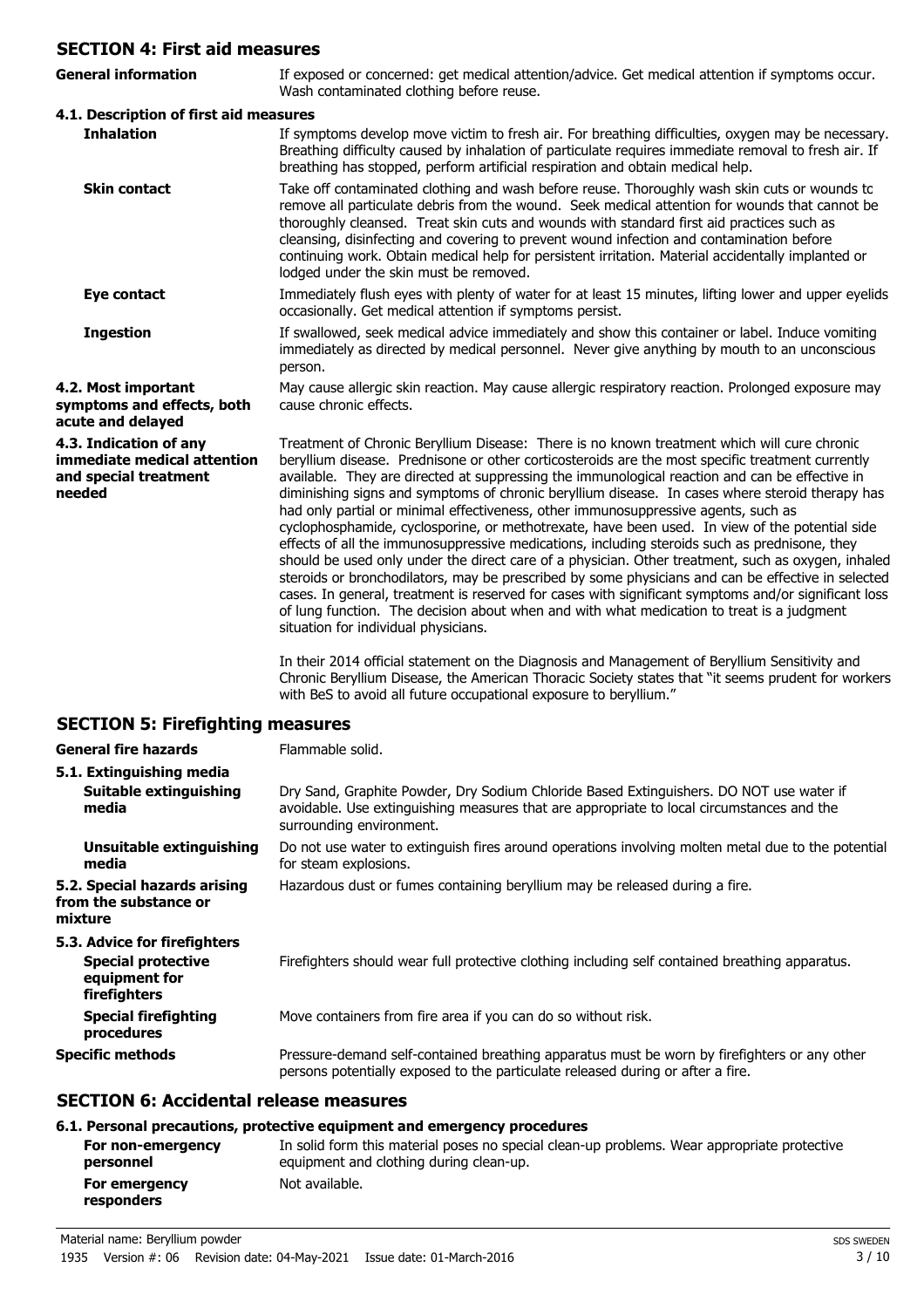## **SECTION 4: First aid measures**

| SECTION 4: First aid measures                                                            |                                                                                                                                                                                                                                                                                                                                                                                                                                                                                                                                                                                                                                                                                                                                                                                                                                                                                                                                                                                                                                                                                                                                                        |  |
|------------------------------------------------------------------------------------------|--------------------------------------------------------------------------------------------------------------------------------------------------------------------------------------------------------------------------------------------------------------------------------------------------------------------------------------------------------------------------------------------------------------------------------------------------------------------------------------------------------------------------------------------------------------------------------------------------------------------------------------------------------------------------------------------------------------------------------------------------------------------------------------------------------------------------------------------------------------------------------------------------------------------------------------------------------------------------------------------------------------------------------------------------------------------------------------------------------------------------------------------------------|--|
| <b>General information</b>                                                               | If exposed or concerned: get medical attention/advice. Get medical attention if symptoms occur.<br>Wash contaminated clothing before reuse.                                                                                                                                                                                                                                                                                                                                                                                                                                                                                                                                                                                                                                                                                                                                                                                                                                                                                                                                                                                                            |  |
| 4.1. Description of first aid measures                                                   |                                                                                                                                                                                                                                                                                                                                                                                                                                                                                                                                                                                                                                                                                                                                                                                                                                                                                                                                                                                                                                                                                                                                                        |  |
| <b>Inhalation</b>                                                                        | If symptoms develop move victim to fresh air. For breathing difficulties, oxygen may be necessary.<br>Breathing difficulty caused by inhalation of particulate requires immediate removal to fresh air. If<br>breathing has stopped, perform artificial respiration and obtain medical help.                                                                                                                                                                                                                                                                                                                                                                                                                                                                                                                                                                                                                                                                                                                                                                                                                                                           |  |
| <b>Skin contact</b>                                                                      | Take off contaminated clothing and wash before reuse. Thoroughly wash skin cuts or wounds to<br>remove all particulate debris from the wound. Seek medical attention for wounds that cannot be<br>thoroughly cleansed. Treat skin cuts and wounds with standard first aid practices such as<br>cleansing, disinfecting and covering to prevent wound infection and contamination before<br>continuing work. Obtain medical help for persistent irritation. Material accidentally implanted or<br>lodged under the skin must be removed.                                                                                                                                                                                                                                                                                                                                                                                                                                                                                                                                                                                                                |  |
| Eye contact                                                                              | Immediately flush eyes with plenty of water for at least 15 minutes, lifting lower and upper eyelids<br>occasionally. Get medical attention if symptoms persist.                                                                                                                                                                                                                                                                                                                                                                                                                                                                                                                                                                                                                                                                                                                                                                                                                                                                                                                                                                                       |  |
| <b>Ingestion</b>                                                                         | If swallowed, seek medical advice immediately and show this container or label. Induce vomiting<br>immediately as directed by medical personnel. Never give anything by mouth to an unconscious<br>person.                                                                                                                                                                                                                                                                                                                                                                                                                                                                                                                                                                                                                                                                                                                                                                                                                                                                                                                                             |  |
| 4.2. Most important<br>symptoms and effects, both<br>acute and delayed                   | May cause allergic skin reaction. May cause allergic respiratory reaction. Prolonged exposure may<br>cause chronic effects.                                                                                                                                                                                                                                                                                                                                                                                                                                                                                                                                                                                                                                                                                                                                                                                                                                                                                                                                                                                                                            |  |
| 4.3. Indication of any<br>immediate medical attention<br>and special treatment<br>needed | Treatment of Chronic Beryllium Disease: There is no known treatment which will cure chronic<br>beryllium disease. Prednisone or other corticosteroids are the most specific treatment currently<br>available. They are directed at suppressing the immunological reaction and can be effective in<br>diminishing signs and symptoms of chronic beryllium disease. In cases where steroid therapy has<br>had only partial or minimal effectiveness, other immunosuppressive agents, such as<br>cyclophosphamide, cyclosporine, or methotrexate, have been used. In view of the potential side<br>effects of all the immunosuppressive medications, including steroids such as prednisone, they<br>should be used only under the direct care of a physician. Other treatment, such as oxygen, inhaled<br>steroids or bronchodilators, may be prescribed by some physicians and can be effective in selected<br>cases. In general, treatment is reserved for cases with significant symptoms and/or significant loss<br>of lung function. The decision about when and with what medication to treat is a judgment<br>situation for individual physicians. |  |
|                                                                                          | In their 2014 official statement on the Diagnosis and Management of Beryllium Sensitivity and<br>Chronic Beryllium Disease, the American Thoracic Society states that "it seems prudent for workers<br>with BeS to avoid all future occupational exposure to beryllium."                                                                                                                                                                                                                                                                                                                                                                                                                                                                                                                                                                                                                                                                                                                                                                                                                                                                               |  |

## **SECTION 5: Firefighting measures**

| <b>General fire hazards</b>                                                                | Flammable solid.                                                                                                                                                                                                 |  |
|--------------------------------------------------------------------------------------------|------------------------------------------------------------------------------------------------------------------------------------------------------------------------------------------------------------------|--|
| 5.1. Extinguishing media                                                                   |                                                                                                                                                                                                                  |  |
| Suitable extinguishing<br>media                                                            | Dry Sand, Graphite Powder, Dry Sodium Chloride Based Extinguishers. DO NOT use water if<br>avoidable. Use extinguishing measures that are appropriate to local circumstances and the<br>surrounding environment. |  |
| Unsuitable extinguishing<br>media                                                          | Do not use water to extinguish fires around operations involving molten metal due to the potential<br>for steam explosions.                                                                                      |  |
| 5.2. Special hazards arising<br>from the substance or<br>mixture                           | Hazardous dust or fumes containing beryllium may be released during a fire.                                                                                                                                      |  |
| 5.3. Advice for firefighters<br><b>Special protective</b><br>equipment for<br>firefighters | Firefighters should wear full protective clothing including self contained breathing apparatus.                                                                                                                  |  |
| Special firefighting<br>procedures                                                         | Move containers from fire area if you can do so without risk.                                                                                                                                                    |  |
| <b>Specific methods</b>                                                                    | Pressure-demand self-contained breathing apparatus must be worn by firefighters or any other<br>persons potentially exposed to the particulate released during or after a fire.                                  |  |

## **SECTION 6: Accidental release measures**

## **6.1. Personal precautions, protective equipment and emergency procedures**

| For non-emergency           | In solid form this material poses no special clean-up problems. Wear appropriate protective |
|-----------------------------|---------------------------------------------------------------------------------------------|
| personnel                   | equipment and clothing during clean-up.                                                     |
| For emergency<br>responders | Not available.                                                                              |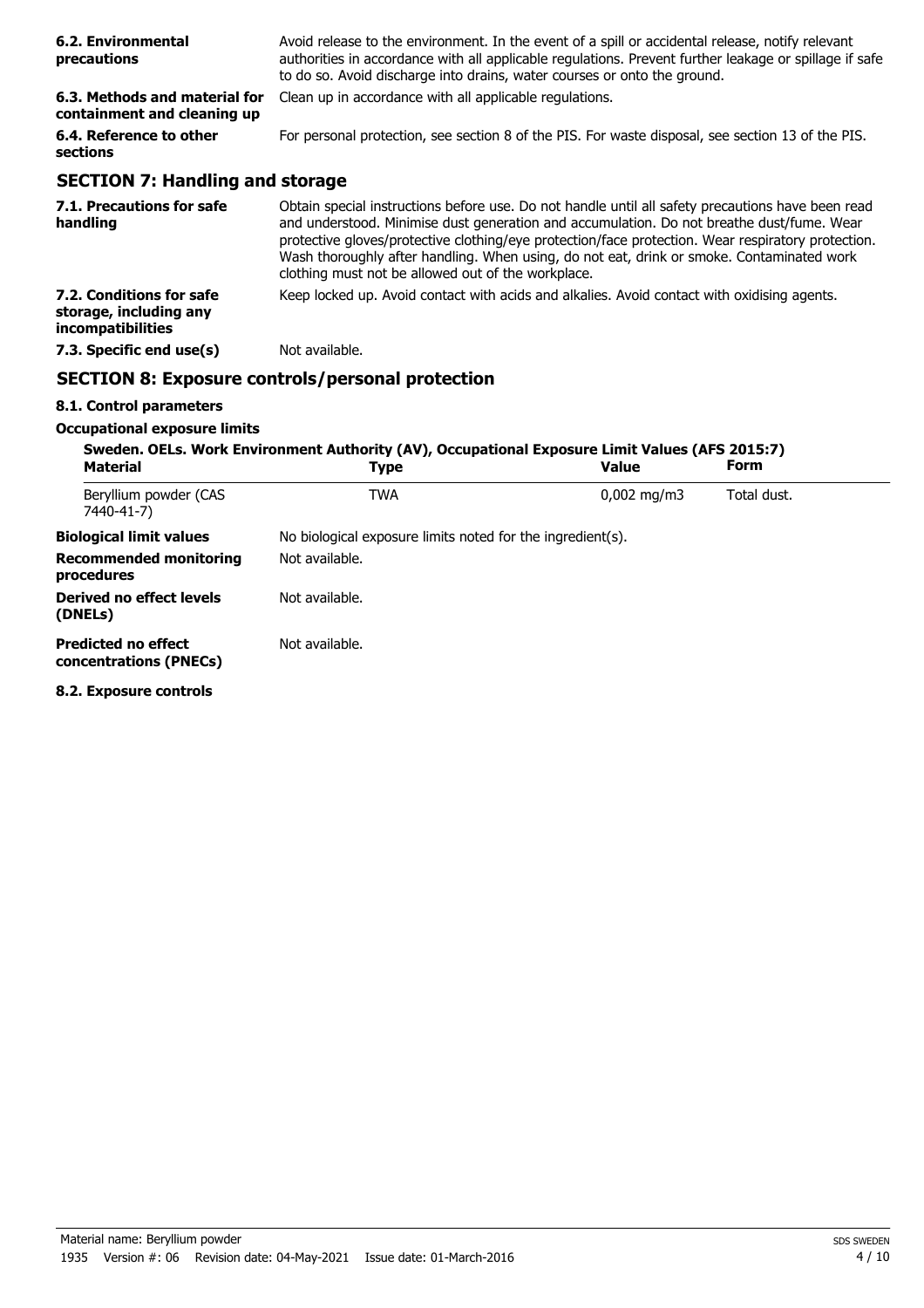| 6.2. Environmental<br>precautions                            | Avoid release to the environment. In the event of a spill or accidental release, notify relevant<br>authorities in accordance with all applicable regulations. Prevent further leakage or spillage if safe<br>to do so. Avoid discharge into drains, water courses or onto the ground.                                                                                                                                                                  |  |
|--------------------------------------------------------------|---------------------------------------------------------------------------------------------------------------------------------------------------------------------------------------------------------------------------------------------------------------------------------------------------------------------------------------------------------------------------------------------------------------------------------------------------------|--|
| 6.3. Methods and material for<br>containment and cleaning up | Clean up in accordance with all applicable regulations.                                                                                                                                                                                                                                                                                                                                                                                                 |  |
| 6.4. Reference to other<br>sections                          | For personal protection, see section 8 of the PIS. For waste disposal, see section 13 of the PIS.                                                                                                                                                                                                                                                                                                                                                       |  |
| <b>SECTION 7: Handling and storage</b>                       |                                                                                                                                                                                                                                                                                                                                                                                                                                                         |  |
| 7.1. Precautions for safe<br>handling                        | Obtain special instructions before use. Do not handle until all safety precautions have been read<br>and understood. Minimise dust generation and accumulation. Do not breathe dust/fume. Wear<br>protective gloves/protective clothing/eye protection/face protection. Wear respiratory protection.<br>Wash thoroughly after handling. When using, do not eat, drink or smoke. Contaminated work<br>clothing must not be allowed out of the workplace. |  |
| 7.2. Conditions for safe<br>storage, including any           | Keep locked up. Avoid contact with acids and alkalies. Avoid contact with oxidising agents.                                                                                                                                                                                                                                                                                                                                                             |  |

## **SECTION 8: Exposure controls/personal protection**

**7.3. Specific end use(s)** Not available.

#### **8.1. Control parameters**

**incompatibilities**

#### **Occupational exposure limits**

| <b>Material</b>                                      | Sweden. OELs. Work Environment Authority (AV), Occupational Exposure Limit Values (AFS 2015:7)<br><b>Type</b> | <b>Value</b>         | Form        |  |
|------------------------------------------------------|---------------------------------------------------------------------------------------------------------------|----------------------|-------------|--|
| Beryllium powder (CAS<br>7440-41-7)                  | <b>TWA</b>                                                                                                    | $0,002 \text{ mg/m}$ | Total dust. |  |
| <b>Biological limit values</b>                       | No biological exposure limits noted for the ingredient(s).                                                    |                      |             |  |
| <b>Recommended monitoring</b><br>procedures          | Not available.                                                                                                |                      |             |  |
| Derived no effect levels<br>(DNELs)                  | Not available.                                                                                                |                      |             |  |
| <b>Predicted no effect</b><br>concentrations (PNECs) | Not available.                                                                                                |                      |             |  |
| 8.7 Evnocura controle                                |                                                                                                               |                      |             |  |

**8.2. Exposure controls**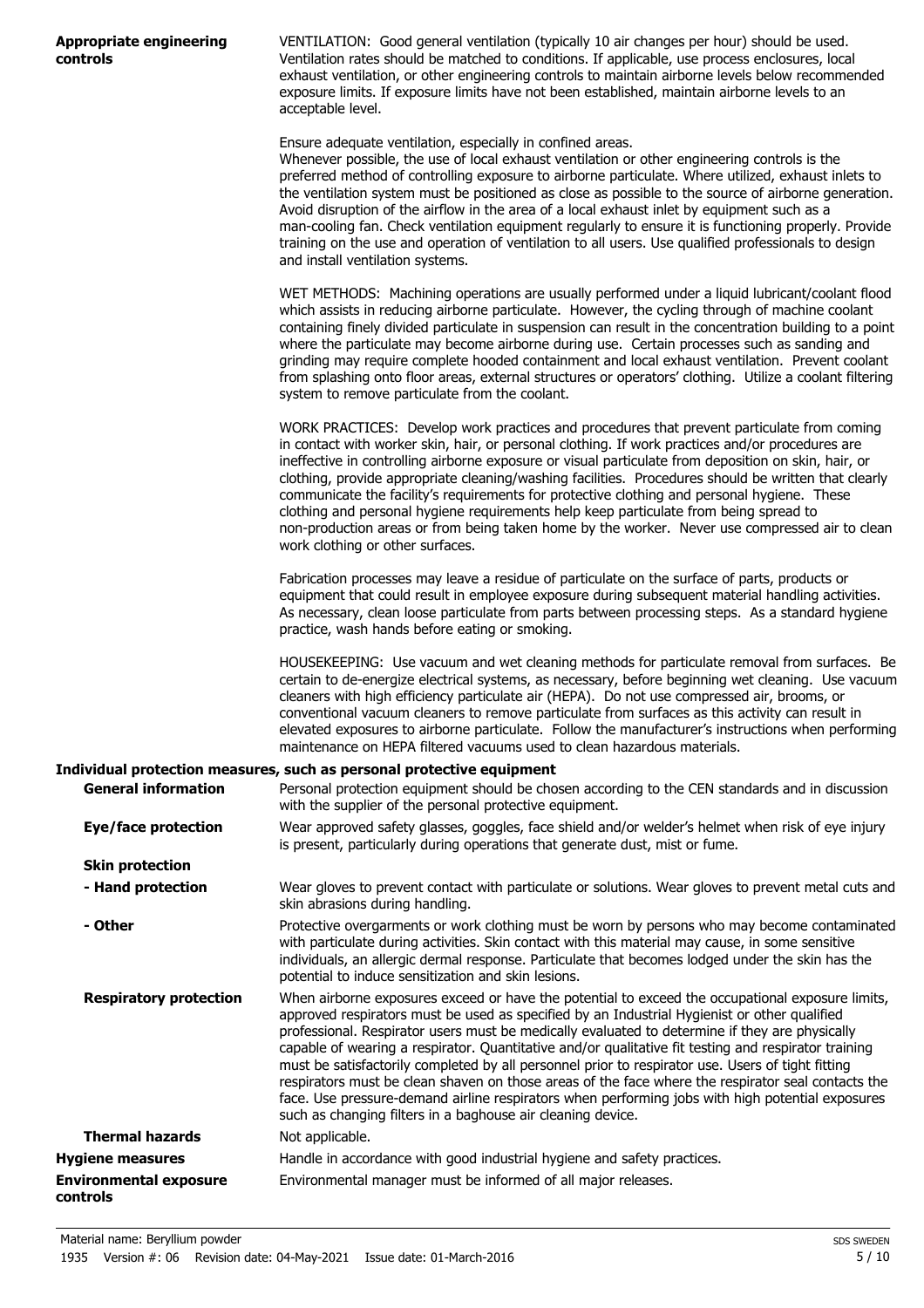|          | Appropriate engineering |
|----------|-------------------------|
| controls |                         |

VENTILATION: Good general ventilation (typically 10 air changes per hour) should be used. Ventilation rates should be matched to conditions. If applicable, use process enclosures, local exhaust ventilation, or other engineering controls to maintain airborne levels below recommended exposure limits. If exposure limits have not been established, maintain airborne levels to an acceptable level.

Ensure adequate ventilation, especially in confined areas.

Whenever possible, the use of local exhaust ventilation or other engineering controls is the preferred method of controlling exposure to airborne particulate. Where utilized, exhaust inlets to the ventilation system must be positioned as close as possible to the source of airborne generation. Avoid disruption of the airflow in the area of a local exhaust inlet by equipment such as a man-cooling fan. Check ventilation equipment regularly to ensure it is functioning properly. Provide training on the use and operation of ventilation to all users. Use qualified professionals to design and install ventilation systems.

WET METHODS: Machining operations are usually performed under a liquid lubricant/coolant flood which assists in reducing airborne particulate. However, the cycling through of machine coolant containing finely divided particulate in suspension can result in the concentration building to a point where the particulate may become airborne during use. Certain processes such as sanding and grinding may require complete hooded containment and local exhaust ventilation. Prevent coolant from splashing onto floor areas, external structures or operators' clothing. Utilize a coolant filtering system to remove particulate from the coolant.

WORK PRACTICES: Develop work practices and procedures that prevent particulate from coming in contact with worker skin, hair, or personal clothing. If work practices and/or procedures are ineffective in controlling airborne exposure or visual particulate from deposition on skin, hair, or clothing, provide appropriate cleaning/washing facilities. Procedures should be written that clearly communicate the facility's requirements for protective clothing and personal hygiene. These clothing and personal hygiene requirements help keep particulate from being spread to non-production areas or from being taken home by the worker. Never use compressed air to clean work clothing or other surfaces.

Fabrication processes may leave a residue of particulate on the surface of parts, products or equipment that could result in employee exposure during subsequent material handling activities. As necessary, clean loose particulate from parts between processing steps. As a standard hygiene practice, wash hands before eating or smoking.

HOUSEKEEPING: Use vacuum and wet cleaning methods for particulate removal from surfaces. Be certain to de-energize electrical systems, as necessary, before beginning wet cleaning. Use vacuum cleaners with high efficiency particulate air (HEPA). Do not use compressed air, brooms, or conventional vacuum cleaners to remove particulate from surfaces as this activity can result in elevated exposures to airborne particulate. Follow the manufacturer's instructions when performing maintenance on HEPA filtered vacuums used to clean hazardous materials.

#### **Individual protection measures, such as personal protective equipment**

| <b>General information</b>                | Personal protection equipment should be chosen according to the CEN standards and in discussion<br>with the supplier of the personal protective equipment.                                                                                                                                                                                                                                                                                                                                                                                                                                                                                                                                                                                                                               |
|-------------------------------------------|------------------------------------------------------------------------------------------------------------------------------------------------------------------------------------------------------------------------------------------------------------------------------------------------------------------------------------------------------------------------------------------------------------------------------------------------------------------------------------------------------------------------------------------------------------------------------------------------------------------------------------------------------------------------------------------------------------------------------------------------------------------------------------------|
| Eye/face protection                       | Wear approved safety glasses, goggles, face shield and/or welder's helmet when risk of eye injury<br>is present, particularly during operations that generate dust, mist or fume.                                                                                                                                                                                                                                                                                                                                                                                                                                                                                                                                                                                                        |
| <b>Skin protection</b>                    |                                                                                                                                                                                                                                                                                                                                                                                                                                                                                                                                                                                                                                                                                                                                                                                          |
| - Hand protection                         | Wear gloves to prevent contact with particulate or solutions. Wear gloves to prevent metal cuts and<br>skin abrasions during handling.                                                                                                                                                                                                                                                                                                                                                                                                                                                                                                                                                                                                                                                   |
| - Other                                   | Protective overgarments or work clothing must be worn by persons who may become contaminated<br>with particulate during activities. Skin contact with this material may cause, in some sensitive<br>individuals, an allergic dermal response. Particulate that becomes lodged under the skin has the<br>potential to induce sensitization and skin lesions.                                                                                                                                                                                                                                                                                                                                                                                                                              |
| <b>Respiratory protection</b>             | When airborne exposures exceed or have the potential to exceed the occupational exposure limits,<br>approved respirators must be used as specified by an Industrial Hygienist or other qualified<br>professional. Respirator users must be medically evaluated to determine if they are physically<br>capable of wearing a respirator. Quantitative and/or qualitative fit testing and respirator training<br>must be satisfactorily completed by all personnel prior to respirator use. Users of tight fitting<br>respirators must be clean shaven on those areas of the face where the respirator seal contacts the<br>face. Use pressure-demand airline respirators when performing jobs with high potential exposures<br>such as changing filters in a baghouse air cleaning device. |
| <b>Thermal hazards</b>                    | Not applicable.                                                                                                                                                                                                                                                                                                                                                                                                                                                                                                                                                                                                                                                                                                                                                                          |
| <b>Hygiene measures</b>                   | Handle in accordance with good industrial hygiene and safety practices.                                                                                                                                                                                                                                                                                                                                                                                                                                                                                                                                                                                                                                                                                                                  |
| <b>Environmental exposure</b><br>controls | Environmental manager must be informed of all major releases.                                                                                                                                                                                                                                                                                                                                                                                                                                                                                                                                                                                                                                                                                                                            |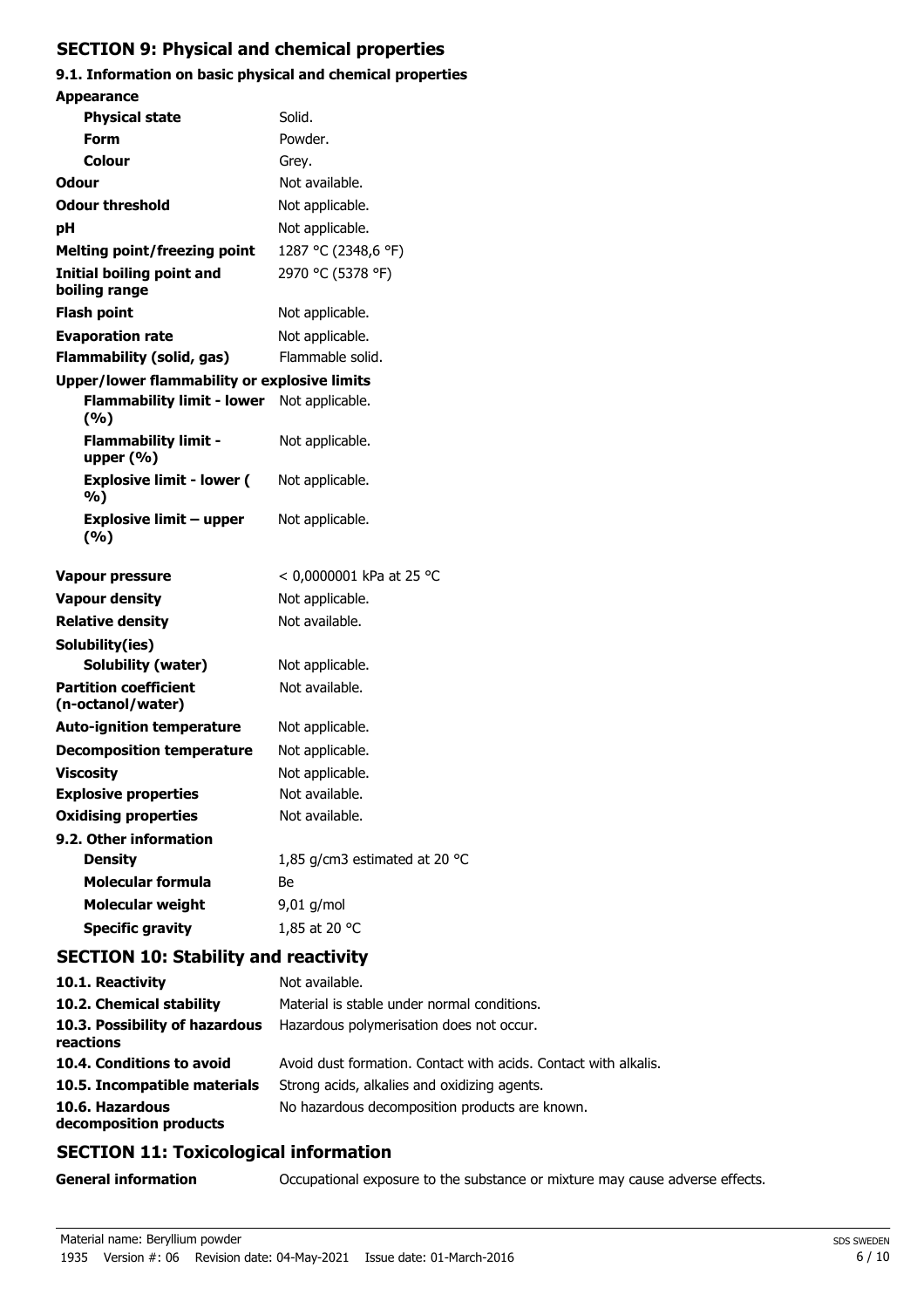## **SECTION 9: Physical and chemical properties**

#### **9.1. Information on basic physical and chemical properties Appearance**

| Appearance                                          |                               |
|-----------------------------------------------------|-------------------------------|
| <b>Physical state</b>                               | Solid.                        |
| Form                                                | Powder.                       |
| Colour                                              | Grey.                         |
| Odour                                               | Not available.                |
| <b>Odour threshold</b>                              | Not applicable.               |
| рH                                                  | Not applicable.               |
| <b>Melting point/freezing point</b>                 | 1287 °C (2348,6 °F)           |
| <b>Initial boiling point and</b><br>boiling range   | 2970 °C (5378 °F)             |
| <b>Flash point</b>                                  | Not applicable.               |
| <b>Evaporation rate</b>                             | Not applicable.               |
| Flammability (solid, gas)                           | Flammable solid.              |
| <b>Upper/lower flammability or explosive limits</b> |                               |
| <b>Flammability limit - lower</b><br>(%)            | Not applicable.               |
| <b>Flammability limit -</b><br>upper $(% )$         | Not applicable.               |
| <b>Explosive limit - lower (</b><br>%)              | Not applicable.               |
| Explosive limit – upper<br>(%)                      | Not applicable.               |
| <b>Vapour pressure</b>                              | < 0,0000001 kPa at 25 °C      |
| <b>Vapour density</b>                               | Not applicable.               |
| <b>Relative density</b>                             | Not available.                |
| Solubility(ies)                                     |                               |
| Solubility (water)                                  | Not applicable.               |
| <b>Partition coefficient</b><br>(n-octanol/water)   | Not available.                |
| <b>Auto-ignition temperature</b>                    | Not applicable.               |
| <b>Decomposition temperature</b>                    | Not applicable.               |
| <b>Viscosity</b>                                    | Not applicable.               |
| <b>Explosive properties</b>                         | Not available.                |
| <b>Oxidising properties</b>                         | Not available.                |
| 9.2. Other information                              |                               |
| <b>Density</b>                                      | 1,85 g/cm3 estimated at 20 °C |
| <b>Molecular formula</b>                            | Be                            |
| <b>Molecular weight</b>                             | 9,01 g/mol                    |
| <b>Specific gravity</b>                             | 1,85 at 20 °C                 |
|                                                     |                               |

## **SECTION 10: Stability and reactivity**

| 10.1. Reactivity                            | Not available.                                                  |
|---------------------------------------------|-----------------------------------------------------------------|
| 10.2. Chemical stability                    | Material is stable under normal conditions.                     |
| 10.3. Possibility of hazardous<br>reactions | Hazardous polymerisation does not occur.                        |
| 10.4. Conditions to avoid                   | Avoid dust formation. Contact with acids. Contact with alkalis. |
| 10.5. Incompatible materials                | Strong acids, alkalies and oxidizing agents.                    |
| 10.6. Hazardous<br>decomposition products   | No hazardous decomposition products are known.                  |

## **SECTION 11: Toxicological information**

**General information CCCUPATION** Occupational exposure to the substance or mixture may cause adverse effects.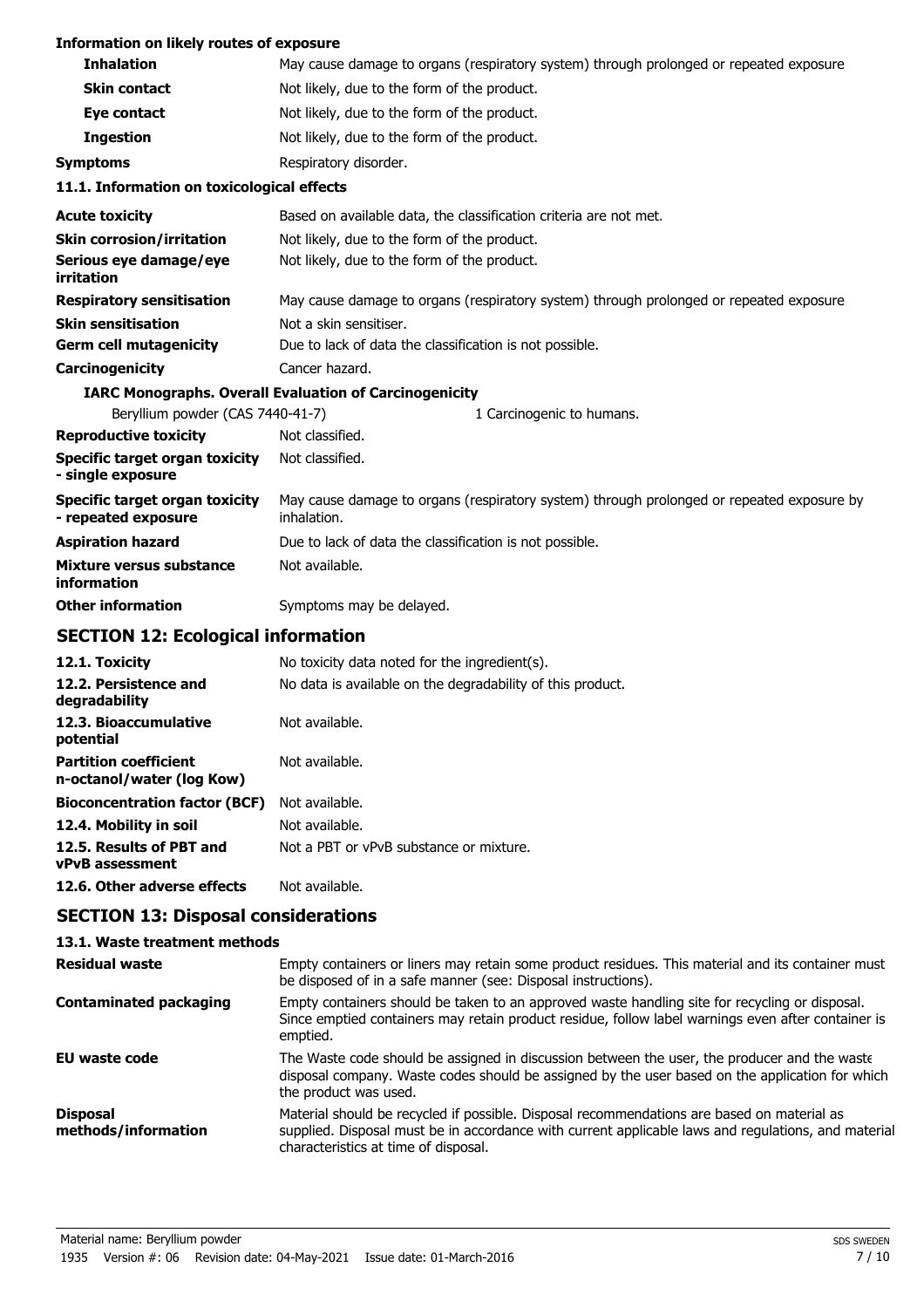#### **Information on likely routes of exposure**

| <b>Inhalation</b>                                            | May cause damage to organs (respiratory system) through prolonged or repeated exposure.                  |
|--------------------------------------------------------------|----------------------------------------------------------------------------------------------------------|
| <b>Skin contact</b>                                          | Not likely, due to the form of the product.                                                              |
| Eye contact                                                  | Not likely, due to the form of the product.                                                              |
| <b>Ingestion</b>                                             | Not likely, due to the form of the product.                                                              |
| <b>Symptoms</b>                                              | Respiratory disorder.                                                                                    |
| 11.1. Information on toxicological effects                   |                                                                                                          |
| <b>Acute toxicity</b>                                        | Based on available data, the classification criteria are not met.                                        |
| <b>Skin corrosion/irritation</b>                             | Not likely, due to the form of the product.                                                              |
| Serious eye damage/eye<br>irritation                         | Not likely, due to the form of the product.                                                              |
| <b>Respiratory sensitisation</b>                             | May cause damage to organs (respiratory system) through prolonged or repeated exposure.                  |
| <b>Skin sensitisation</b>                                    | Not a skin sensitiser.                                                                                   |
| <b>Germ cell mutagenicity</b>                                | Due to lack of data the classification is not possible.                                                  |
| Carcinogenicity                                              | Cancer hazard.                                                                                           |
|                                                              | <b>IARC Monographs. Overall Evaluation of Carcinogenicity</b>                                            |
| Beryllium powder (CAS 7440-41-7)                             | 1 Carcinogenic to humans.                                                                                |
| <b>Reproductive toxicity</b>                                 | Not classified.                                                                                          |
| <b>Specific target organ toxicity</b><br>- single exposure   | Not classified.                                                                                          |
| <b>Specific target organ toxicity</b><br>- repeated exposure | May cause damage to organs (respiratory system) through prolonged or repeated exposure by<br>inhalation. |
| <b>Aspiration hazard</b>                                     | Due to lack of data the classification is not possible.                                                  |
| <b>Mixture versus substance</b><br>information               | Not available.                                                                                           |
| <b>Other information</b>                                     | Symptoms may be delayed.                                                                                 |

## **SECTION 12: Ecological information**

| No toxicity data noted for the ingredient(s).              |
|------------------------------------------------------------|
| No data is available on the degradability of this product. |
| Not available.                                             |
| Not available.                                             |
| Not available.                                             |
| Not available.                                             |
| Not a PBT or vPvB substance or mixture.                    |
| Not available.                                             |
|                                                            |

## **SECTION 13: Disposal considerations**

### **13.1. Waste treatment methods**

| <b>Residual waste</b>                  | Empty containers or liners may retain some product residues. This material and its container must<br>be disposed of in a safe manner (see: Disposal instructions).                                                                        |
|----------------------------------------|-------------------------------------------------------------------------------------------------------------------------------------------------------------------------------------------------------------------------------------------|
| <b>Contaminated packaging</b>          | Empty containers should be taken to an approved waste handling site for recycling or disposal.<br>Since emptied containers may retain product residue, follow label warnings even after container is<br>emptied.                          |
| EU waste code                          | The Waste code should be assigned in discussion between the user, the producer and the waste<br>disposal company. Waste codes should be assigned by the user based on the application for which<br>the product was used.                  |
| <b>Disposal</b><br>methods/information | Material should be recycled if possible. Disposal recommendations are based on material as<br>supplied. Disposal must be in accordance with current applicable laws and regulations, and material<br>characteristics at time of disposal. |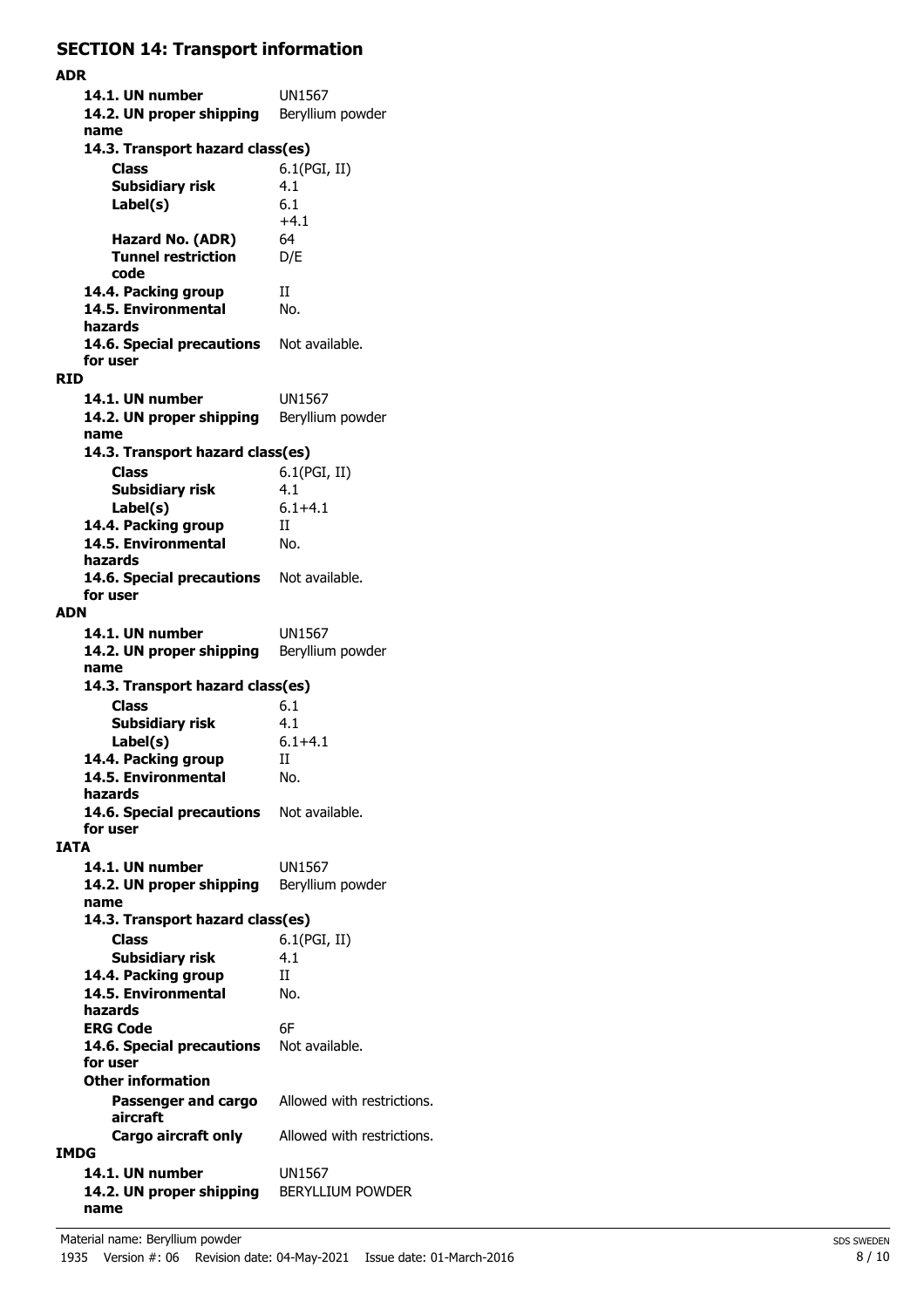## **SECTION 14: Transport information**

**ADR 14.1. UN number** UN1567 14.2. UN proper shipping Beryllium powder **name Class** 6.1(PGI, II) **14.3. Transport hazard class(es) Subsidiary risk** 4.1 6.1  $+4.1$ **Label(s) Hazard No. (ADR)** 64 **Tunnel restriction** D/E **code 14.4. Packing group** II 14.5. Environmental No. **hazards** 14.6. Special precautions Not available. **for user RID 14.1. UN number** UN1567 14.2. UN proper shipping Beryllium powder **name Class** 6.1(PGI, II) **14.3. Transport hazard class(es) Subsidiary risk** 4.1 **Label(s)** 6.1+4.1 **14.4. Packing group** II **14.5. Environmental** No. **hazards** 14.6. Special precautions Not available. **for user ADN 14.1. UN number** UN1567 14.2. UN proper shipping Beryllium powder **name Class** 6.1 **14.3. Transport hazard class(es) Subsidiary risk** 4.1 **Label(s)** 6.1+4.1 14.4. Packing group II **14.5. Environmental** No. **hazards** 14.6. Special precautions Not available. **for user IATA 14.1. UN number** UN1567 14.2. UN proper shipping Beryllium powder **name Class** 6.1(PGI, II) **14.3. Transport hazard class(es) Subsidiary risk** 4.1 14.4. Packing group II **14.5. Environmental** No. **hazards ERG Code** 6F 14.6. Special precautions Not available. **for user Passenger and cargo** Allowed with restrictions. **aircraft Other information Cargo aircraft only** Allowed with restrictions. **IMDG 14.1. UN number** UN1567 **14.2. UN proper shipping** BERYLLIUM POWDER **name**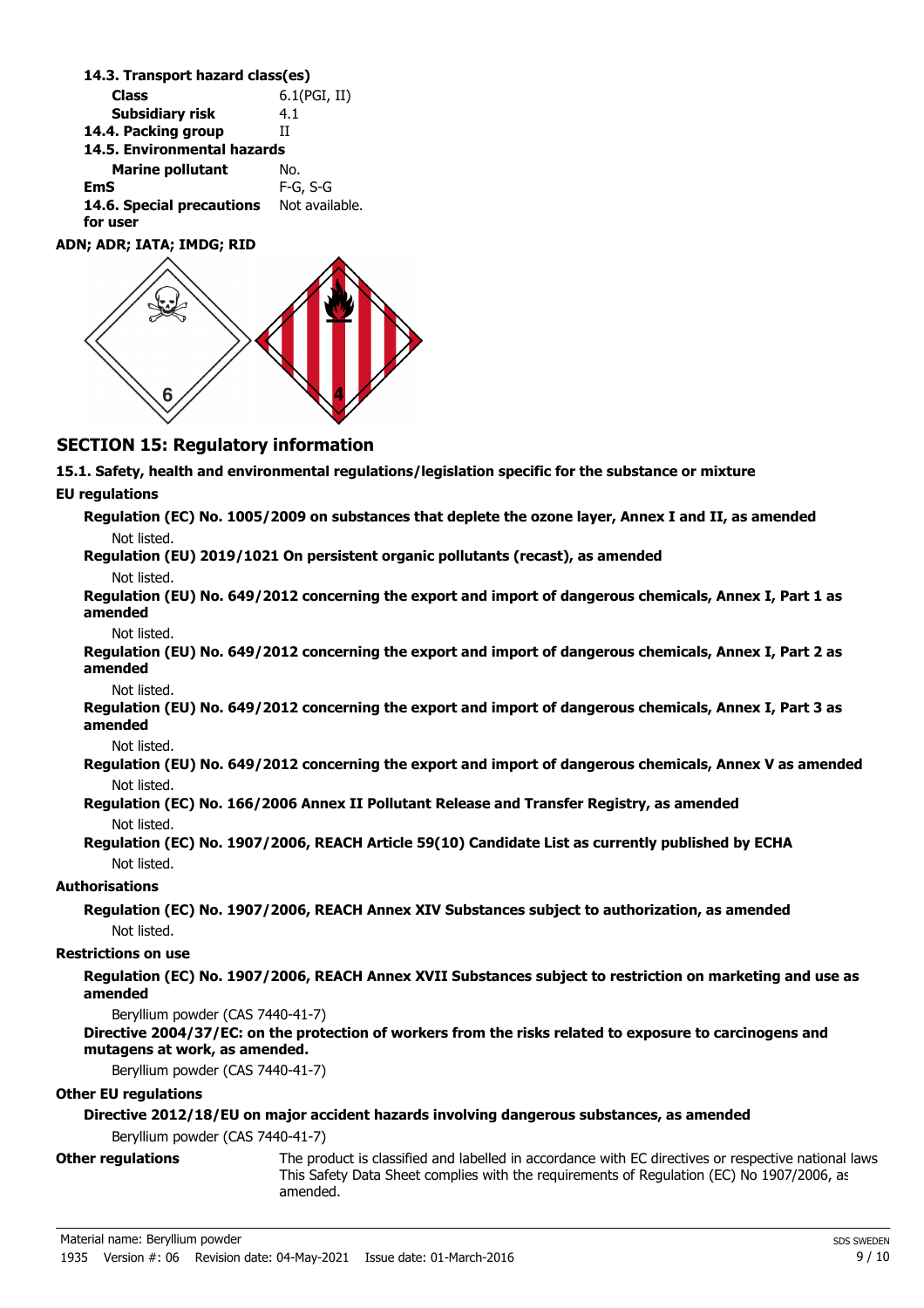**Class** 6.1(PGI, II) **14.3. Transport hazard class(es) Subsidiary risk** 4.1 **14.4. Packing group** II **Marine pollutant** No. **14.5. Environmental hazards EmS** F-G, S-G 14.6. Special precautions Not available. **for user ADN; ADR; IATA; IMDG; RID**

### **SECTION 15: Regulatory information**

**15.1. Safety, health and environmental regulations/legislation specific for the substance or mixture**

#### **EU regulations**

| Regulation (EC) No. 1005/2009 on substances that deplete the ozone layer, Annex I and II, as amended |
|------------------------------------------------------------------------------------------------------|
| Not listed.                                                                                          |
| Requision (EU) 2010/1021 On percictent erganic pollutants (recast), as amended                       |

**Regulation (EU) 2019/1021 On persistent organic pollutants (recast), as amended** Not listed.

**Regulation (EU) No. 649/2012 concerning the export and import of dangerous chemicals, Annex I, Part 1 as amended**

Not listed.

**Regulation (EU) No. 649/2012 concerning the export and import of dangerous chemicals, Annex I, Part 2 as amended**

Not listed.

**Regulation (EU) No. 649/2012 concerning the export and import of dangerous chemicals, Annex I, Part 3 as amended**

Not listed.

**Regulation (EU) No. 649/2012 concerning the export and import of dangerous chemicals, Annex V as amended** Not listed.

**Regulation (EC) No. 166/2006 Annex II Pollutant Release and Transfer Registry, as amended** Not listed.

**Regulation (EC) No. 1907/2006, REACH Article 59(10) Candidate List as currently published by ECHA** Not listed.

#### **Authorisations**

**Regulation (EC) No. 1907/2006, REACH Annex XIV Substances subject to authorization, as amended** Not listed.

#### **Restrictions on use**

**Regulation (EC) No. 1907/2006, REACH Annex XVII Substances subject to restriction on marketing and use as amended**

Beryllium powder (CAS 7440-41-7)

#### **Directive 2004/37/EC: on the protection of workers from the risks related to exposure to carcinogens and mutagens at work, as amended.**

Beryllium powder (CAS 7440-41-7)

#### **Other EU regulations**

#### **Directive 2012/18/EU on major accident hazards involving dangerous substances, as amended**

Beryllium powder (CAS 7440-41-7)

**Other regulations**

The product is classified and labelled in accordance with EC directives or respective national laws. This Safety Data Sheet complies with the requirements of Regulation (EC) No 1907/2006, as amended.